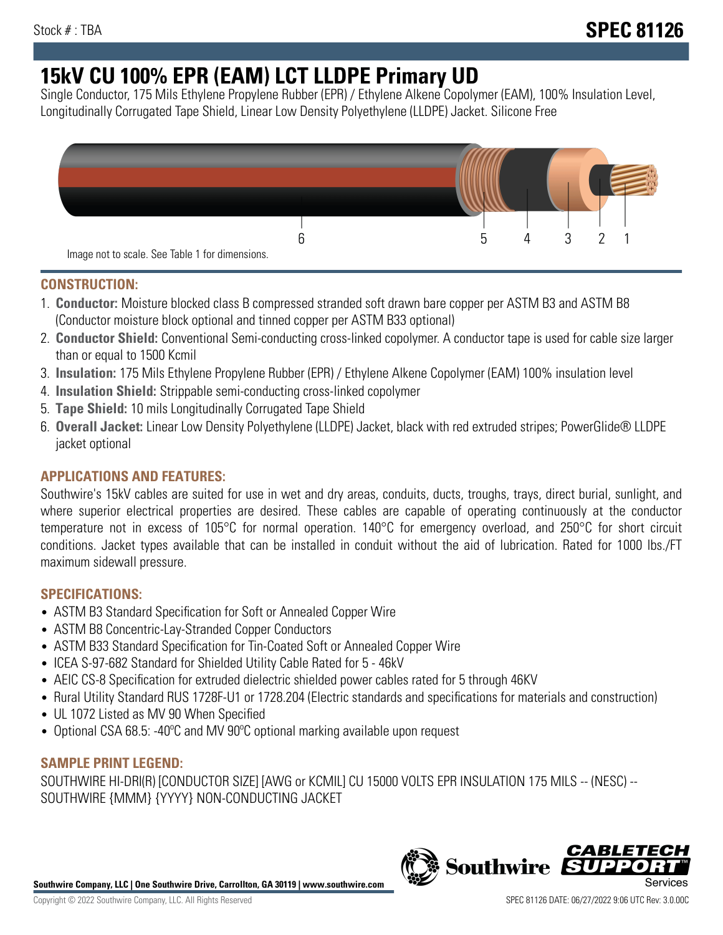# **15kV CU 100% EPR (EAM) LCT LLDPE Primary UD**

Single Conductor, 175 Mils Ethylene Propylene Rubber (EPR) / Ethylene Alkene Copolymer (EAM), 100% Insulation Level, Longitudinally Corrugated Tape Shield, Linear Low Density Polyethylene (LLDPE) Jacket. Silicone Free



# **CONSTRUCTION:**

- 1. **Conductor:** Moisture blocked class B compressed stranded soft drawn bare copper per ASTM B3 and ASTM B8 (Conductor moisture block optional and tinned copper per ASTM B33 optional)
- 2. **Conductor Shield:** Conventional Semi-conducting cross-linked copolymer. A conductor tape is used for cable size larger than or equal to 1500 Kcmil
- 3. **Insulation:** 175 Mils Ethylene Propylene Rubber (EPR) / Ethylene Alkene Copolymer (EAM) 100% insulation level
- 4. **Insulation Shield:** Strippable semi-conducting cross-linked copolymer
- 5. **Tape Shield:** 10 mils Longitudinally Corrugated Tape Shield
- 6. **Overall Jacket:** Linear Low Density Polyethylene (LLDPE) Jacket, black with red extruded stripes; PowerGlide® LLDPE jacket optional

# **APPLICATIONS AND FEATURES:**

Southwire's 15kV cables are suited for use in wet and dry areas, conduits, ducts, troughs, trays, direct burial, sunlight, and where superior electrical properties are desired. These cables are capable of operating continuously at the conductor temperature not in excess of 105°C for normal operation. 140°C for emergency overload, and 250°C for short circuit conditions. Jacket types available that can be installed in conduit without the aid of lubrication. Rated for 1000 lbs./FT maximum sidewall pressure.

# **SPECIFICATIONS:**

- ASTM B3 Standard Specification for Soft or Annealed Copper Wire
- ASTM B8 Concentric-Lay-Stranded Copper Conductors
- ASTM B33 Standard Specification for Tin-Coated Soft or Annealed Copper Wire
- ICEA S-97-682 Standard for Shielded Utility Cable Rated for 5 46kV
- AEIC CS-8 Specification for extruded dielectric shielded power cables rated for 5 through 46KV
- Rural Utility Standard RUS 1728F-U1 or 1728.204 (Electric standards and specifications for materials and construction)
- UL 1072 Listed as MV 90 When Specified
- Optional CSA 68.5: -40ºC and MV 90ºC optional marking available upon request

## **SAMPLE PRINT LEGEND:**

SOUTHWIRE HI-DRI(R) [CONDUCTOR SIZE] [AWG or KCMIL] CU 15000 VOLTS EPR INSULATION 175 MILS -- (NESC) -- SOUTHWIRE {MMM} {YYYY} NON-CONDUCTING JACKET